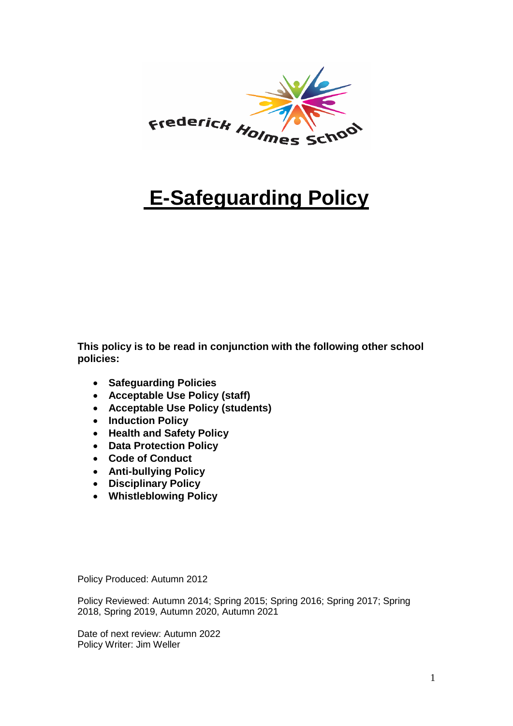

# **E-Safeguarding Policy**

**This policy is to be read in conjunction with the following other school policies:**

- **Safeguarding Policies**
- **Acceptable Use Policy (staff)**
- **Acceptable Use Policy (students)**
- **Induction Policy**
- **Health and Safety Policy**
- **Data Protection Policy**
- **Code of Conduct**
- **Anti-bullying Policy**
- **Disciplinary Policy**
- **Whistleblowing Policy**

Policy Produced: Autumn 2012

Policy Reviewed: Autumn 2014; Spring 2015; Spring 2016; Spring 2017; Spring 2018, Spring 2019, Autumn 2020, Autumn 2021

Date of next review: Autumn 2022 Policy Writer: Jim Weller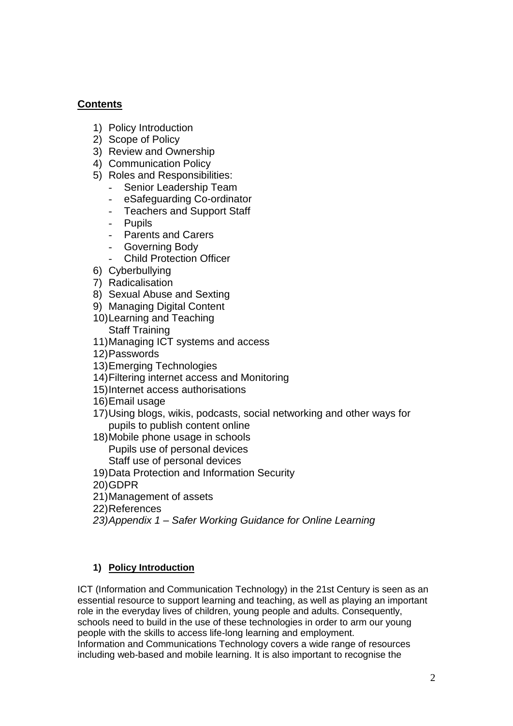# **Contents**

- 1) Policy Introduction
- 2) Scope of Policy
- 3) Review and Ownership
- 4) Communication Policy
- 5) Roles and Responsibilities:
	- Senior Leadership Team
	- eSafeguarding Co-ordinator
	- Teachers and Support Staff
	- Pupils
	- Parents and Carers
	- Governing Body
	- **Child Protection Officer**
- 6) Cyberbullying
- 7) Radicalisation
- 8) Sexual Abuse and Sexting
- 9) Managing Digital Content
- 10)Learning and Teaching Staff Training
- 11)Managing ICT systems and access
- 12)Passwords
- 13)Emerging Technologies
- 14)Filtering internet access and Monitoring
- 15)Internet access authorisations
- 16)Email usage
- 17)Using blogs, wikis, podcasts, social networking and other ways for pupils to publish content online
- 18)Mobile phone usage in schools Pupils use of personal devices Staff use of personal devices
- 19)Data Protection and Information Security
- 20)GDPR
- 21)Management of assets
- 22)References
- *23)Appendix 1 – Safer Working Guidance for Online Learning*

# **1) Policy Introduction**

ICT (Information and Communication Technology) in the 21st Century is seen as an essential resource to support learning and teaching, as well as playing an important role in the everyday lives of children, young people and adults. Consequently, schools need to build in the use of these technologies in order to arm our young people with the skills to access life-long learning and employment. Information and Communications Technology covers a wide range of resources including web-based and mobile learning. It is also important to recognise the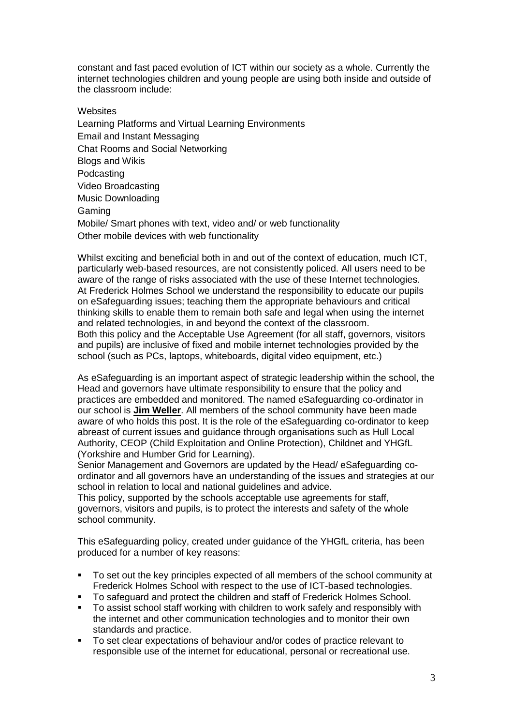constant and fast paced evolution of ICT within our society as a whole. Currently the internet technologies children and young people are using both inside and outside of the classroom include:

**Websites** Learning Platforms and Virtual Learning Environments Email and Instant Messaging Chat Rooms and Social Networking Blogs and Wikis Podcasting Video Broadcasting Music Downloading Gaming Mobile/ Smart phones with text, video and/ or web functionality Other mobile devices with web functionality

Whilst exciting and beneficial both in and out of the context of education, much ICT, particularly web-based resources, are not consistently policed. All users need to be aware of the range of risks associated with the use of these Internet technologies. At Frederick Holmes School we understand the responsibility to educate our pupils on eSafeguarding issues; teaching them the appropriate behaviours and critical thinking skills to enable them to remain both safe and legal when using the internet and related technologies, in and beyond the context of the classroom. Both this policy and the Acceptable Use Agreement (for all staff, governors, visitors and pupils) are inclusive of fixed and mobile internet technologies provided by the school (such as PCs, laptops, whiteboards, digital video equipment, etc.)

As eSafeguarding is an important aspect of strategic leadership within the school, the Head and governors have ultimate responsibility to ensure that the policy and practices are embedded and monitored. The named eSafeguarding co-ordinator in our school is **Jim Weller**. All members of the school community have been made aware of who holds this post. It is the role of the eSafeguarding co-ordinator to keep abreast of current issues and guidance through organisations such as Hull Local Authority, CEOP (Child Exploitation and Online Protection), Childnet and YHGfL (Yorkshire and Humber Grid for Learning).

Senior Management and Governors are updated by the Head/ eSafeguarding coordinator and all governors have an understanding of the issues and strategies at our school in relation to local and national guidelines and advice.

This policy, supported by the schools acceptable use agreements for staff, governors, visitors and pupils, is to protect the interests and safety of the whole school community.

This eSafeguarding policy, created under guidance of the YHGfL criteria, has been produced for a number of key reasons:

- To set out the key principles expected of all members of the school community at Frederick Holmes School with respect to the use of ICT-based technologies.
- To safeguard and protect the children and staff of Frederick Holmes School.
- To assist school staff working with children to work safely and responsibly with the internet and other communication technologies and to monitor their own standards and practice.
- To set clear expectations of behaviour and/or codes of practice relevant to responsible use of the internet for educational, personal or recreational use.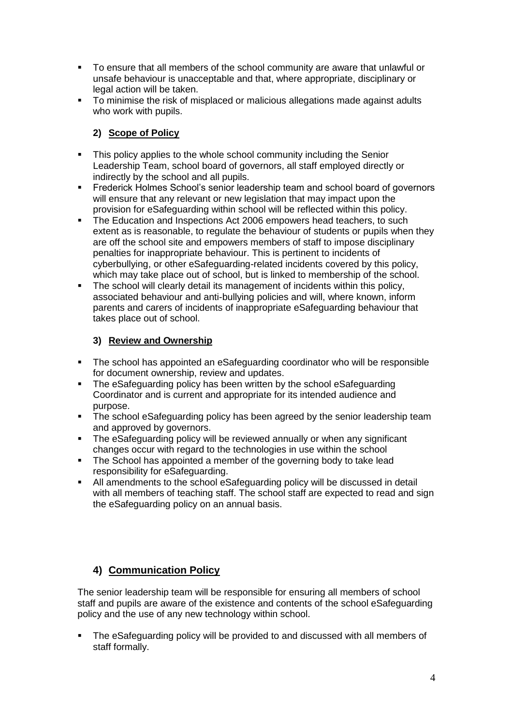- To ensure that all members of the school community are aware that unlawful or unsafe behaviour is unacceptable and that, where appropriate, disciplinary or legal action will be taken.
- To minimise the risk of misplaced or malicious allegations made against adults who work with pupils.

#### **2) Scope of Policy**

- This policy applies to the whole school community including the Senior Leadership Team, school board of governors, all staff employed directly or indirectly by the school and all pupils.
- Frederick Holmes School's senior leadership team and school board of governors will ensure that any relevant or new legislation that may impact upon the provision for eSafeguarding within school will be reflected within this policy.
- The Education and Inspections Act 2006 empowers head teachers, to such extent as is reasonable, to regulate the behaviour of students or pupils when they are off the school site and empowers members of staff to impose disciplinary penalties for inappropriate behaviour. This is pertinent to incidents of cyberbullying, or other eSafeguarding-related incidents covered by this policy, which may take place out of school, but is linked to membership of the school.
- The school will clearly detail its management of incidents within this policy, associated behaviour and anti-bullying policies and will, where known, inform parents and carers of incidents of inappropriate eSafeguarding behaviour that takes place out of school.

# **3) Review and Ownership**

- The school has appointed an eSafeguarding coordinator who will be responsible for document ownership, review and updates.
- The eSafeguarding policy has been written by the school eSafeguarding Coordinator and is current and appropriate for its intended audience and purpose.
- The school eSafeguarding policy has been agreed by the senior leadership team and approved by governors.
- **•** The eSafeguarding policy will be reviewed annually or when any significant changes occur with regard to the technologies in use within the school
- The School has appointed a member of the governing body to take lead responsibility for eSafeguarding.
- All amendments to the school eSafeguarding policy will be discussed in detail with all members of teaching staff. The school staff are expected to read and sign the eSafeguarding policy on an annual basis.

# **4) Communication Policy**

The senior leadership team will be responsible for ensuring all members of school staff and pupils are aware of the existence and contents of the school eSafeguarding policy and the use of any new technology within school.

▪ The eSafeguarding policy will be provided to and discussed with all members of staff formally.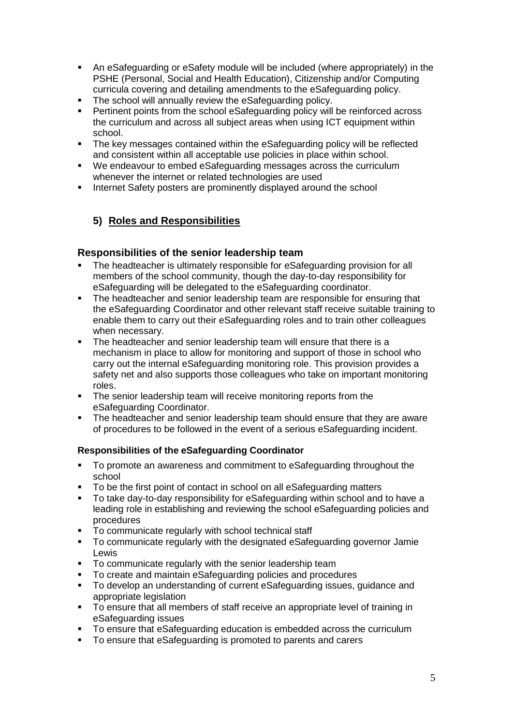- An eSafeguarding or eSafety module will be included (where appropriately) in the PSHE (Personal, Social and Health Education), Citizenship and/or Computing curricula covering and detailing amendments to the eSafeguarding policy.
- The school will annually review the eSafeguarding policy.<br>■ Pertinent points from the school eSafeguarding policy will
- Pertinent points from the school eSafeguarding policy will be reinforced across the curriculum and across all subject areas when using ICT equipment within school.
- The key messages contained within the eSafeguarding policy will be reflected and consistent within all acceptable use policies in place within school.
- We endeavour to embed eSafeguarding messages across the curriculum whenever the internet or related technologies are used
- **EXEDENT Internet Safety posters are prominently displayed around the school**

# **5) Roles and Responsibilities**

#### **Responsibilities of the senior leadership team**

- The headteacher is ultimately responsible for eSafeguarding provision for all members of the school community, though the day-to-day responsibility for eSafeguarding will be delegated to the eSafeguarding coordinator.
- The headteacher and senior leadership team are responsible for ensuring that the eSafeguarding Coordinator and other relevant staff receive suitable training to enable them to carry out their eSafeguarding roles and to train other colleagues when necessary.
- **•** The headteacher and senior leadership team will ensure that there is a mechanism in place to allow for monitoring and support of those in school who carry out the internal eSafeguarding monitoring role. This provision provides a safety net and also supports those colleagues who take on important monitoring roles.
- The senior leadership team will receive monitoring reports from the eSafeguarding Coordinator.
- **•** The headteacher and senior leadership team should ensure that they are aware of procedures to be followed in the event of a serious eSafeguarding incident.

#### **Responsibilities of the eSafeguarding Coordinator**

- To promote an awareness and commitment to eSafeguarding throughout the school
- To be the first point of contact in school on all eSafeguarding matters<br>■ To take day-to-day responsibility for eSafeguarding within school and
- To take day-to-day responsibility for eSafeguarding within school and to have a leading role in establishing and reviewing the school eSafeguarding policies and procedures
- To communicate regularly with school technical staff
- To communicate regularly with the designated eSafeguarding governor Jamie Lewis
- To communicate regularly with the senior leadership team
- To create and maintain eSafeguarding policies and procedures
- To develop an understanding of current eSafeguarding issues, guidance and appropriate legislation
- To ensure that all members of staff receive an appropriate level of training in eSafeguarding issues
- To ensure that eSafeguarding education is embedded across the curriculum
- To ensure that eSafeguarding is promoted to parents and carers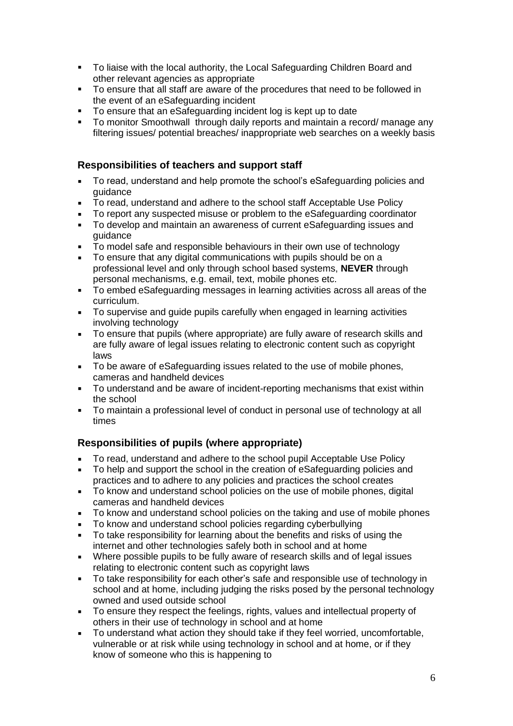- To liaise with the local authority, the Local Safeguarding Children Board and other relevant agencies as appropriate
- To ensure that all staff are aware of the procedures that need to be followed in the event of an eSafeguarding incident
- To ensure that an eSafeguarding incident log is kept up to date
- To monitor Smoothwall through daily reports and maintain a record/ manage any filtering issues/ potential breaches/ inappropriate web searches on a weekly basis

#### **Responsibilities of teachers and support staff**

- To read, understand and help promote the school's eSafeguarding policies and guidance
- To read, understand and adhere to the school staff Acceptable Use Policy
- To report any suspected misuse or problem to the eSafeguarding coordinator
- To develop and maintain an awareness of current eSafeguarding issues and guidance
- To model safe and responsible behaviours in their own use of technology
- To ensure that any digital communications with pupils should be on a professional level and only through school based systems, **NEVER** through personal mechanisms, e.g. email, text, mobile phones etc.
- To embed eSafeguarding messages in learning activities across all areas of the curriculum.
- To supervise and guide pupils carefully when engaged in learning activities involving technology
- To ensure that pupils (where appropriate) are fully aware of research skills and are fully aware of legal issues relating to electronic content such as copyright laws
- To be aware of eSafeguarding issues related to the use of mobile phones, cameras and handheld devices
- To understand and be aware of incident-reporting mechanisms that exist within the school
- To maintain a professional level of conduct in personal use of technology at all times

# **Responsibilities of pupils (where appropriate)**

- To read, understand and adhere to the school pupil Acceptable Use Policy
- To help and support the school in the creation of eSafeguarding policies and practices and to adhere to any policies and practices the school creates
- To know and understand school policies on the use of mobile phones, digital cameras and handheld devices
- To know and understand school policies on the taking and use of mobile phones
- To know and understand school policies regarding cyberbullying
- To take responsibility for learning about the benefits and risks of using the internet and other technologies safely both in school and at home
- Where possible pupils to be fully aware of research skills and of legal issues relating to electronic content such as copyright laws
- To take responsibility for each other's safe and responsible use of technology in school and at home, including judging the risks posed by the personal technology owned and used outside school
- To ensure they respect the feelings, rights, values and intellectual property of others in their use of technology in school and at home
- To understand what action they should take if they feel worried, uncomfortable, vulnerable or at risk while using technology in school and at home, or if they know of someone who this is happening to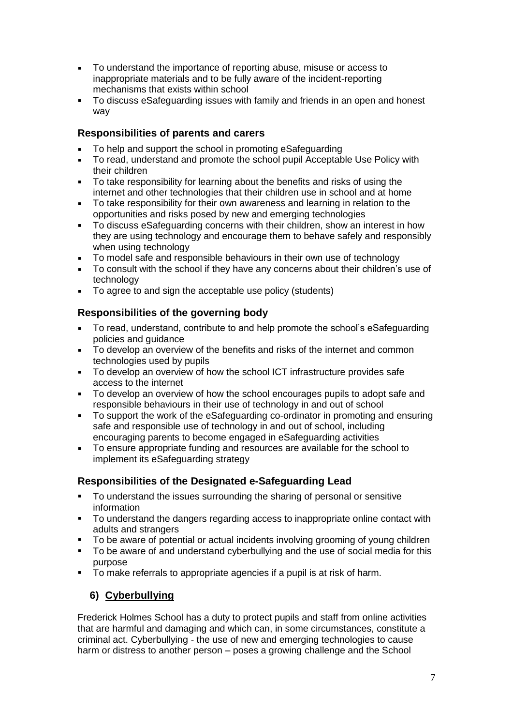- To understand the importance of reporting abuse, misuse or access to inappropriate materials and to be fully aware of the incident-reporting mechanisms that exists within school
- To discuss eSafeguarding issues with family and friends in an open and honest way

#### **Responsibilities of parents and carers**

- To help and support the school in promoting eSafeguarding
- To read, understand and promote the school pupil Acceptable Use Policy with their children
- To take responsibility for learning about the benefits and risks of using the internet and other technologies that their children use in school and at home
- To take responsibility for their own awareness and learning in relation to the opportunities and risks posed by new and emerging technologies
- To discuss eSafeguarding concerns with their children, show an interest in how they are using technology and encourage them to behave safely and responsibly when using technology
- To model safe and responsible behaviours in their own use of technology
- To consult with the school if they have any concerns about their children's use of technology
- To agree to and sign the acceptable use policy (students)

## **Responsibilities of the governing body**

- To read, understand, contribute to and help promote the school's eSafeguarding policies and guidance
- To develop an overview of the benefits and risks of the internet and common technologies used by pupils
- To develop an overview of how the school ICT infrastructure provides safe access to the internet
- To develop an overview of how the school encourages pupils to adopt safe and responsible behaviours in their use of technology in and out of school
- To support the work of the eSafeguarding co-ordinator in promoting and ensuring safe and responsible use of technology in and out of school, including encouraging parents to become engaged in eSafeguarding activities
- To ensure appropriate funding and resources are available for the school to implement its eSafeguarding strategy

# **Responsibilities of the Designated e-Safeguarding Lead**

- To understand the issues surrounding the sharing of personal or sensitive information
- To understand the dangers regarding access to inappropriate online contact with adults and strangers
- To be aware of potential or actual incidents involving grooming of young children
- To be aware of and understand cyberbullying and the use of social media for this purpose
- To make referrals to appropriate agencies if a pupil is at risk of harm.

# **6) Cyberbullying**

Frederick Holmes School has a duty to protect pupils and staff from online activities that are harmful and damaging and which can, in some circumstances, constitute a criminal act. Cyberbullying - the use of new and emerging technologies to cause harm or distress to another person – poses a growing challenge and the School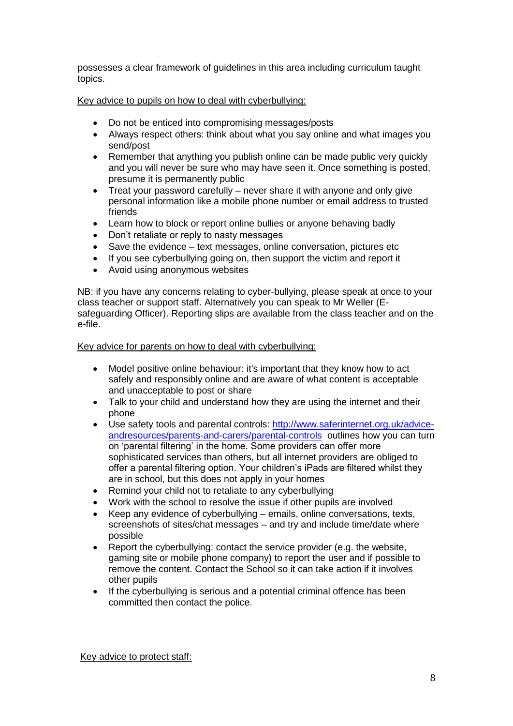possesses a clear framework of guidelines in this area including curriculum taught topics.

Key advice to pupils on how to deal with cyberbullying:

- Do not be enticed into compromising messages/posts
- Always respect others: think about what you say online and what images you send/post
- Remember that anything you publish online can be made public very quickly and you will never be sure who may have seen it. Once something is posted, presume it is permanently public
- Treat your password carefully never share it with anyone and only give personal information like a mobile phone number or email address to trusted friends
- Learn how to block or report online bullies or anyone behaving badly
- Don't retaliate or reply to nasty messages
- Save the evidence text messages, online conversation, pictures etc
- If you see cyberbullying going on, then support the victim and report it
- Avoid using anonymous websites

NB: if you have any concerns relating to cyber-bullying, please speak at once to your class teacher or support staff. Alternatively you can speak to Mr Weller (Esafeguarding Officer). Reporting slips are available from the class teacher and on the e-file.

Key advice for parents on how to deal with cyberbullying:

- Model positive online behaviour: it's important that they know how to act safely and responsibly online and are aware of what content is acceptable and unacceptable to post or share
- Talk to your child and understand how they are using the internet and their phone
- Use safety tools and parental controls: [http://www.saferinternet.org.uk/advice](http://www.saferinternet.org.uk/advice-andresources/parents-and-carers/parental-controls)[andresources/parents-and-carers/parental-controls](http://www.saferinternet.org.uk/advice-andresources/parents-and-carers/parental-controls) outlines how you can turn on 'parental filtering' in the home. Some providers can offer more sophisticated services than others, but all internet providers are obliged to offer a parental filtering option. Your children's iPads are filtered whilst they are in school, but this does not apply in your homes
- Remind your child not to retaliate to any cyberbullying
- Work with the school to resolve the issue if other pupils are involved
- Keep any evidence of cyberbullying emails, online conversations, texts, screenshots of sites/chat messages – and try and include time/date where possible
- Report the cyberbullying: contact the service provider (e.g. the website, gaming site or mobile phone company) to report the user and if possible to remove the content. Contact the School so it can take action if it involves other pupils
- If the cyberbullying is serious and a potential criminal offence has been committed then contact the police.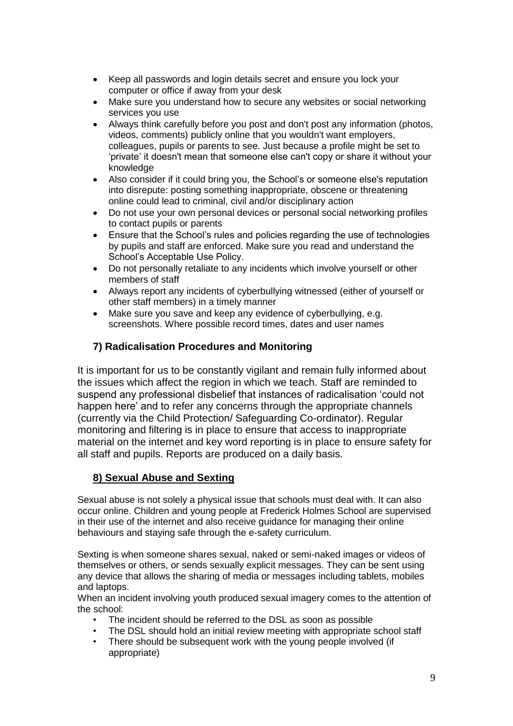- Keep all passwords and login details secret and ensure you lock your computer or office if away from your desk
- Make sure you understand how to secure any websites or social networking services you use
- Always think carefully before you post and don't post any information (photos, videos, comments) publicly online that you wouldn't want employers, colleagues, pupils or parents to see. Just because a profile might be set to 'private' it doesn't mean that someone else can't copy or share it without your knowledge
- Also consider if it could bring you, the School's or someone else's reputation into disrepute: posting something inappropriate, obscene or threatening online could lead to criminal, civil and/or disciplinary action
- Do not use your own personal devices or personal social networking profiles to contact pupils or parents
- Ensure that the School's rules and policies regarding the use of technologies by pupils and staff are enforced. Make sure you read and understand the School's Acceptable Use Policy.
- Do not personally retaliate to any incidents which involve yourself or other members of staff
- Always report any incidents of cyberbullying witnessed (either of yourself or other staff members) in a timely manner
- Make sure you save and keep any evidence of cyberbullying, e.g. screenshots. Where possible record times, dates and user names

# **7) Radicalisation Procedures and Monitoring**

It is important for us to be constantly vigilant and remain fully informed about the issues which affect the region in which we teach. Staff are reminded to suspend any professional disbelief that instances of radicalisation 'could not happen here' and to refer any concerns through the appropriate channels (currently via the Child Protection/ Safeguarding Co-ordinator). Regular monitoring and filtering is in place to ensure that access to inappropriate material on the internet and key word reporting is in place to ensure safety for all staff and pupils. Reports are produced on a daily basis.

# **8) Sexual Abuse and Sexting**

Sexual abuse is not solely a physical issue that schools must deal with. It can also occur online. Children and young people at Frederick Holmes School are supervised in their use of the internet and also receive guidance for managing their online behaviours and staying safe through the e-safety curriculum.

Sexting is when someone shares sexual, naked or semi-naked images or videos of themselves or others, or sends sexually explicit messages. They can be sent using any device that allows the sharing of media or messages including tablets, mobiles and laptops.

When an incident involving youth produced sexual imagery comes to the attention of the school:

- The incident should be referred to the DSL as soon as possible
- The DSL should hold an initial review meeting with appropriate school staff
- There should be subsequent work with the young people involved (if appropriate)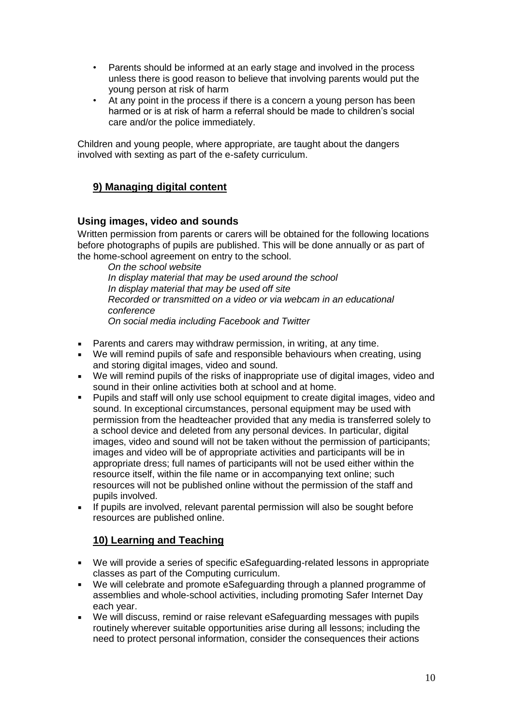- Parents should be informed at an early stage and involved in the process unless there is good reason to believe that involving parents would put the young person at risk of harm
- At any point in the process if there is a concern a young person has been harmed or is at risk of harm a referral should be made to children's social care and/or the police immediately.

Children and young people, where appropriate, are taught about the dangers involved with sexting as part of the e-safety curriculum.

# **9) Managing digital content**

#### **Using images, video and sounds**

Written permission from parents or carers will be obtained for the following locations before photographs of pupils are published. This will be done annually or as part of the home-school agreement on entry to the school.

*On the school website In display material that may be used around the school In display material that may be used off site Recorded or transmitted on a video or via webcam in an educational conference On social media including Facebook and Twitter*

- Parents and carers may withdraw permission, in writing, at any time.
- We will remind pupils of safe and responsible behaviours when creating, using and storing digital images, video and sound.
- We will remind pupils of the risks of inappropriate use of digital images, video and sound in their online activities both at school and at home.
- Pupils and staff will only use school equipment to create digital images, video and sound. In exceptional circumstances, personal equipment may be used with permission from the headteacher provided that any media is transferred solely to a school device and deleted from any personal devices. In particular, digital images, video and sound will not be taken without the permission of participants; images and video will be of appropriate activities and participants will be in appropriate dress; full names of participants will not be used either within the resource itself, within the file name or in accompanying text online; such resources will not be published online without the permission of the staff and pupils involved.
- If pupils are involved, relevant parental permission will also be sought before resources are published online.

# **10) Learning and Teaching**

- We will provide a series of specific eSafeguarding-related lessons in appropriate classes as part of the Computing curriculum.
- We will celebrate and promote eSafeguarding through a planned programme of assemblies and whole-school activities, including promoting Safer Internet Day each year.
- We will discuss, remind or raise relevant eSafeguarding messages with pupils routinely wherever suitable opportunities arise during all lessons; including the need to protect personal information, consider the consequences their actions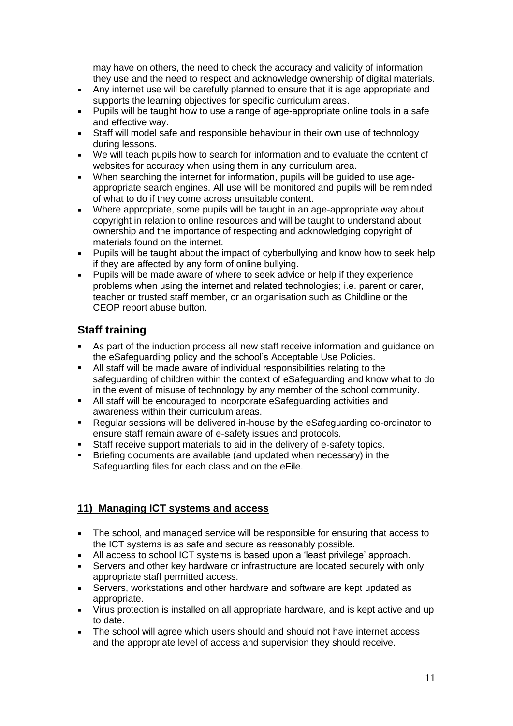may have on others, the need to check the accuracy and validity of information they use and the need to respect and acknowledge ownership of digital materials.

- **EXEQUE Any internet use will be carefully planned to ensure that it is age appropriate and** supports the learning objectives for specific curriculum areas.
- Pupils will be taught how to use a range of age-appropriate online tools in a safe and effective way.
- Staff will model safe and responsible behaviour in their own use of technology during lessons.
- We will teach pupils how to search for information and to evaluate the content of websites for accuracy when using them in any curriculum area.
- When searching the internet for information, pupils will be guided to use ageappropriate search engines. All use will be monitored and pupils will be reminded of what to do if they come across unsuitable content.
- Where appropriate, some pupils will be taught in an age-appropriate way about copyright in relation to online resources and will be taught to understand about ownership and the importance of respecting and acknowledging copyright of materials found on the internet*.*
- Pupils will be taught about the impact of cyberbullying and know how to seek help if they are affected by any form of online bullying.
- **Pupils will be made aware of where to seek advice or help if they experience** problems when using the internet and related technologies; i.e. parent or carer, teacher or trusted staff member, or an organisation such as Childline or the CEOP report abuse button.

# **Staff training**

- As part of the induction process all new staff receive information and guidance on the eSafeguarding policy and the school's Acceptable Use Policies.
- All staff will be made aware of individual responsibilities relating to the safeguarding of children within the context of eSafeguarding and know what to do in the event of misuse of technology by any member of the school community.
- All staff will be encouraged to incorporate eSafeguarding activities and awareness within their curriculum areas.
- Regular sessions will be delivered in-house by the eSafeguarding co-ordinator to ensure staff remain aware of e-safety issues and protocols.
- Staff receive support materials to aid in the delivery of e-safety topics.
- Briefing documents are available (and updated when necessary) in the Safeguarding files for each class and on the eFile.

# **11) Managing ICT systems and access**

- The school, and managed service will be responsible for ensuring that access to the ICT systems is as safe and secure as reasonably possible.
- All access to school ICT systems is based upon a 'least privilege' approach.
- Servers and other key hardware or infrastructure are located securely with only appropriate staff permitted access.
- Servers, workstations and other hardware and software are kept updated as appropriate.
- Virus protection is installed on all appropriate hardware, and is kept active and up to date.
- The school will agree which users should and should not have internet access and the appropriate level of access and supervision they should receive.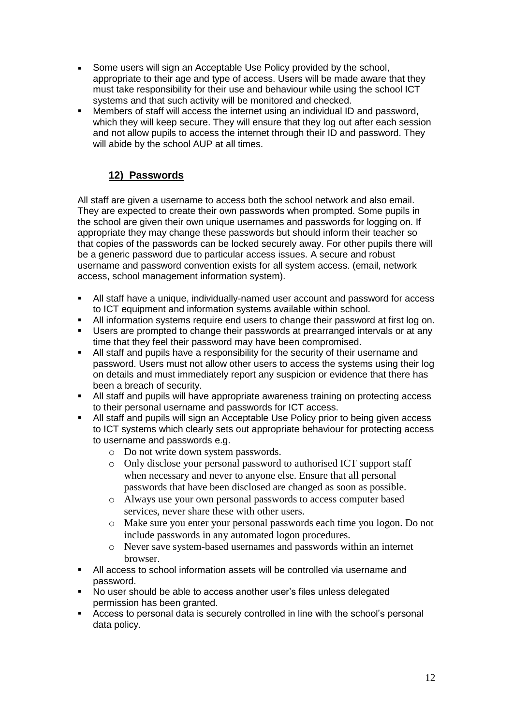- **•** Some users will sign an Acceptable Use Policy provided by the school, appropriate to their age and type of access. Users will be made aware that they must take responsibility for their use and behaviour while using the school ICT systems and that such activity will be monitored and checked.
- Members of staff will access the internet using an individual ID and password, which they will keep secure. They will ensure that they log out after each session and not allow pupils to access the internet through their ID and password. They will abide by the school AUP at all times.

# **12) Passwords**

All staff are given a username to access both the school network and also email. They are expected to create their own passwords when prompted. Some pupils in the school are given their own unique usernames and passwords for logging on. If appropriate they may change these passwords but should inform their teacher so that copies of the passwords can be locked securely away. For other pupils there will be a generic password due to particular access issues. A secure and robust username and password convention exists for all system access. (email, network access, school management information system).

- All staff have a unique, individually-named user account and password for access to ICT equipment and information systems available within school.
- All information systems require end users to change their password at first log on.
- **EXECT** Users are prompted to change their passwords at prearranged intervals or at any time that they feel their password may have been compromised.
- All staff and pupils have a responsibility for the security of their username and password. Users must not allow other users to access the systems using their log on details and must immediately report any suspicion or evidence that there has been a breach of security.
- All staff and pupils will have appropriate awareness training on protecting access to their personal username and passwords for ICT access.
- All staff and pupils will sign an Acceptable Use Policy prior to being given access to ICT systems which clearly sets out appropriate behaviour for protecting access to username and passwords e.g.
	- o Do not write down system passwords.
	- o Only disclose your personal password to authorised ICT support staff when necessary and never to anyone else. Ensure that all personal passwords that have been disclosed are changed as soon as possible.
	- o Always use your own personal passwords to access computer based services, never share these with other users.
	- o Make sure you enter your personal passwords each time you logon. Do not include passwords in any automated logon procedures.
	- o Never save system-based usernames and passwords within an internet browser.
- All access to school information assets will be controlled via username and password.
- No user should be able to access another user's files unless delegated permission has been granted.
- Access to personal data is securely controlled in line with the school's personal data policy.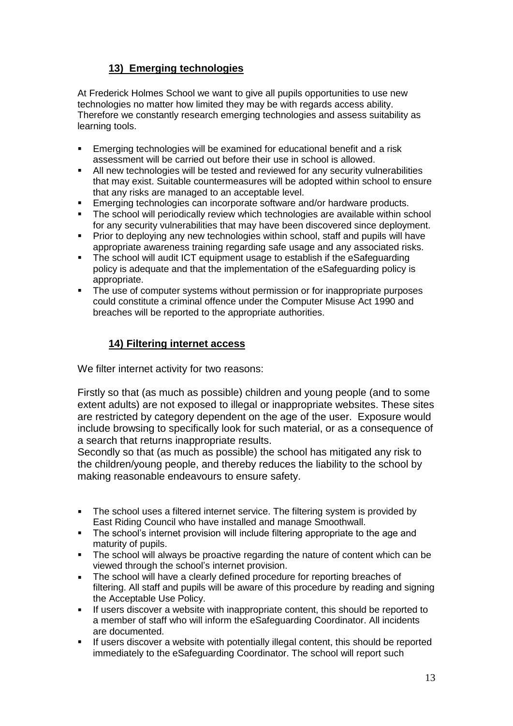# **13) Emerging technologies**

At Frederick Holmes School we want to give all pupils opportunities to use new technologies no matter how limited they may be with regards access ability. Therefore we constantly research emerging technologies and assess suitability as learning tools.

- **Emerging technologies will be examined for educational benefit and a risk** assessment will be carried out before their use in school is allowed.
- All new technologies will be tested and reviewed for any security vulnerabilities that may exist. Suitable countermeasures will be adopted within school to ensure that any risks are managed to an acceptable level.
- Emerging technologies can incorporate software and/or hardware products.
- The school will periodically review which technologies are available within school for any security vulnerabilities that may have been discovered since deployment.
- **•** Prior to deploying any new technologies within school, staff and pupils will have appropriate awareness training regarding safe usage and any associated risks.
- The school will audit ICT equipment usage to establish if the eSafeguarding policy is adequate and that the implementation of the eSafeguarding policy is appropriate.
- The use of computer systems without permission or for inappropriate purposes could constitute a criminal offence under the Computer Misuse Act 1990 and breaches will be reported to the appropriate authorities.

# **14) Filtering internet access**

We filter internet activity for two reasons:

Firstly so that (as much as possible) children and young people (and to some extent adults) are not exposed to illegal or inappropriate websites. These sites are restricted by category dependent on the age of the user. Exposure would include browsing to specifically look for such material, or as a consequence of a search that returns inappropriate results.

Secondly so that (as much as possible) the school has mitigated any risk to the children/young people, and thereby reduces the liability to the school by making reasonable endeavours to ensure safety.

- **EXECT** The school uses a filtered internet service. The filtering system is provided by East Riding Council who have installed and manage Smoothwall.
- **•** The school's internet provision will include filtering appropriate to the age and maturity of pupils.
- The school will always be proactive regarding the nature of content which can be viewed through the school's internet provision.
- **EXECT** The school will have a clearly defined procedure for reporting breaches of filtering. All staff and pupils will be aware of this procedure by reading and signing the Acceptable Use Policy.
- **.** If users discover a website with inappropriate content, this should be reported to a member of staff who will inform the eSafeguarding Coordinator. All incidents are documented.
- If users discover a website with potentially illegal content, this should be reported immediately to the eSafeguarding Coordinator. The school will report such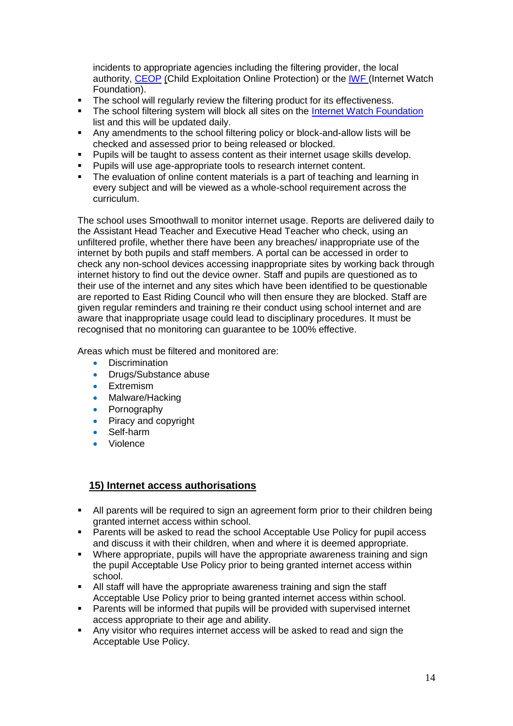incidents to appropriate agencies including the filtering provider, the local authority, [CEOP](http://ceop.police.uk/) (Child Exploitation Online Protection) or the **[IWF](http://www.iwf.org.uk/)** (Internet Watch Foundation).

- The school will regularly review the filtering product for its effectiveness.<br>■ The school filtering system will block all sites on the Internet Watch Four
- The school filtering system will block all sites on the [Internet Watch Foundation](http://www.iwf.org.uk/) list and this will be updated daily.
- Any amendments to the school filtering policy or block-and-allow lists will be checked and assessed prior to being released or blocked.
- Pupils will be taught to assess content as their internet usage skills develop.
- Pupils will use age-appropriate tools to research internet content.
- The evaluation of online content materials is a part of teaching and learning in every subject and will be viewed as a whole-school requirement across the curriculum.

The school uses Smoothwall to monitor internet usage. Reports are delivered daily to the Assistant Head Teacher and Executive Head Teacher who check, using an unfiltered profile, whether there have been any breaches/ inappropriate use of the internet by both pupils and staff members. A portal can be accessed in order to check any non-school devices accessing inappropriate sites by working back through internet history to find out the device owner. Staff and pupils are questioned as to their use of the internet and any sites which have been identified to be questionable are reported to East Riding Council who will then ensure they are blocked. Staff are given regular reminders and training re their conduct using school internet and are aware that inappropriate usage could lead to disciplinary procedures. It must be recognised that no monitoring can guarantee to be 100% effective.

Areas which must be filtered and monitored are:

- Discrimination
- Drugs/Substance abuse
- Extremism
- Malware/Hacking
- Pornography
- Piracy and copyright
- Self-harm
- Violence

#### **15) Internet access authorisations**

- **E** All parents will be required to sign an agreement form prior to their children being granted internet access within school.
- Parents will be asked to read the school Acceptable Use Policy for pupil access and discuss it with their children, when and where it is deemed appropriate.
- Where appropriate, pupils will have the appropriate awareness training and sign the pupil Acceptable Use Policy prior to being granted internet access within school.
- All staff will have the appropriate awareness training and sign the staff Acceptable Use Policy prior to being granted internet access within school.
- Parents will be informed that pupils will be provided with supervised internet access appropriate to their age and ability.
- Any visitor who requires internet access will be asked to read and sign the Acceptable Use Policy.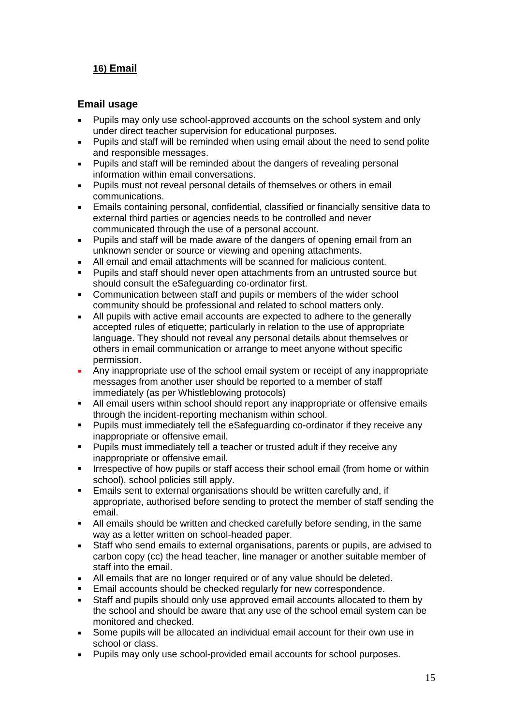# **16) Email**

#### **Email usage**

- Pupils may only use school-approved accounts on the school system and only under direct teacher supervision for educational purposes.
- Pupils and staff will be reminded when using email about the need to send polite and responsible messages.
- Pupils and staff will be reminded about the dangers of revealing personal information within email conversations.
- Pupils must not reveal personal details of themselves or others in email communications.
- **Emails containing personal, confidential, classified or financially sensitive data to** external third parties or agencies needs to be controlled and never communicated through the use of a personal account.
- Pupils and staff will be made aware of the dangers of opening email from an unknown sender or source or viewing and opening attachments.
- All email and email attachments will be scanned for malicious content.
- Pupils and staff should never open attachments from an untrusted source but should consult the eSafeguarding co-ordinator first.
- Communication between staff and pupils or members of the wider school community should be professional and related to school matters only.
- All pupils with active email accounts are expected to adhere to the generally accepted rules of etiquette; particularly in relation to the use of appropriate language. They should not reveal any personal details about themselves or others in email communication or arrange to meet anyone without specific permission.
- **EXECT** Any inappropriate use of the school email system or receipt of any inappropriate messages from another user should be reported to a member of staff immediately (as per Whistleblowing protocols)
- All email users within school should report any inappropriate or offensive emails through the incident-reporting mechanism within school.
- Pupils must immediately tell the eSafeguarding co-ordinator if they receive any inappropriate or offensive email.
- Pupils must immediately tell a teacher or trusted adult if they receive any inappropriate or offensive email.
- Irrespective of how pupils or staff access their school email (from home or within school), school policies still apply.
- Emails sent to external organisations should be written carefully and, if appropriate, authorised before sending to protect the member of staff sending the email.
- All emails should be written and checked carefully before sending, in the same way as a letter written on school-headed paper.
- Staff who send emails to external organisations, parents or pupils, are advised to carbon copy (cc) the head teacher, line manager or another suitable member of staff into the email.
- All emails that are no longer required or of any value should be deleted.
- Email accounts should be checked regularly for new correspondence.
- Staff and pupils should only use approved email accounts allocated to them by the school and should be aware that any use of the school email system can be monitored and checked.
- Some pupils will be allocated an individual email account for their own use in school or class.
- Pupils may only use school-provided email accounts for school purposes.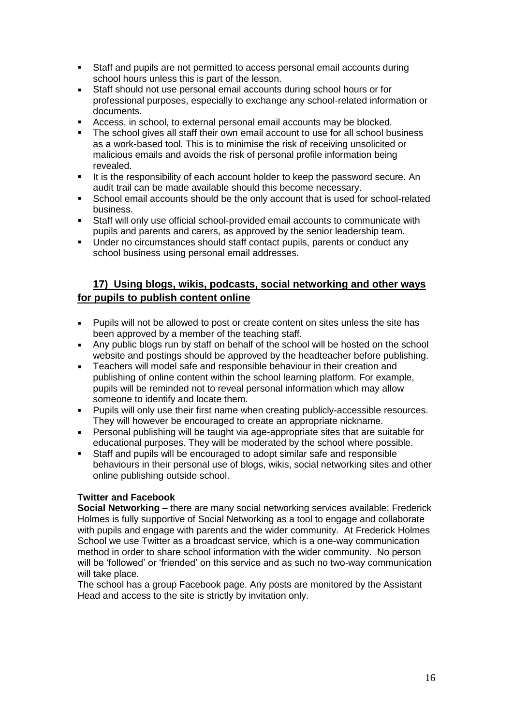- Staff and pupils are not permitted to access personal email accounts during school hours unless this is part of the lesson.
- Staff should not use personal email accounts during school hours or for professional purposes, especially to exchange any school-related information or documents.
- Access, in school, to external personal email accounts may be blocked.
- The school gives all staff their own email account to use for all school business as a work-based tool. This is to minimise the risk of receiving unsolicited or malicious emails and avoids the risk of personal profile information being revealed.
- It is the responsibility of each account holder to keep the password secure. An audit trail can be made available should this become necessary.
- School email accounts should be the only account that is used for school-related business.
- Staff will only use official school-provided email accounts to communicate with pupils and parents and carers, as approved by the senior leadership team.
- Under no circumstances should staff contact pupils, parents or conduct any school business using personal email addresses.

# **17) Using blogs, wikis, podcasts, social networking and other ways for pupils to publish content online**

- Pupils will not be allowed to post or create content on sites unless the site has been approved by a member of the teaching staff.
- Any public blogs run by staff on behalf of the school will be hosted on the school website and postings should be approved by the headteacher before publishing.
- **EXE** Teachers will model safe and responsible behaviour in their creation and publishing of online content within the school learning platform. For example, pupils will be reminded not to reveal personal information which may allow someone to identify and locate them.
- **Pupils will only use their first name when creating publicly-accessible resources.** They will however be encouraged to create an appropriate nickname.
- Personal publishing will be taught via age-appropriate sites that are suitable for educational purposes. They will be moderated by the school where possible.
- Staff and pupils will be encouraged to adopt similar safe and responsible behaviours in their personal use of blogs, wikis, social networking sites and other online publishing outside school.

#### **Twitter and Facebook**

**Social Networking –** there are many social networking services available; Frederick Holmes is fully supportive of Social Networking as a tool to engage and collaborate with pupils and engage with parents and the wider community. At Frederick Holmes School we use Twitter as a broadcast service, which is a one-way communication method in order to share school information with the wider community. No person will be 'followed' or 'friended' on this service and as such no two-way communication will take place.

The school has a group Facebook page. Any posts are monitored by the Assistant Head and access to the site is strictly by invitation only.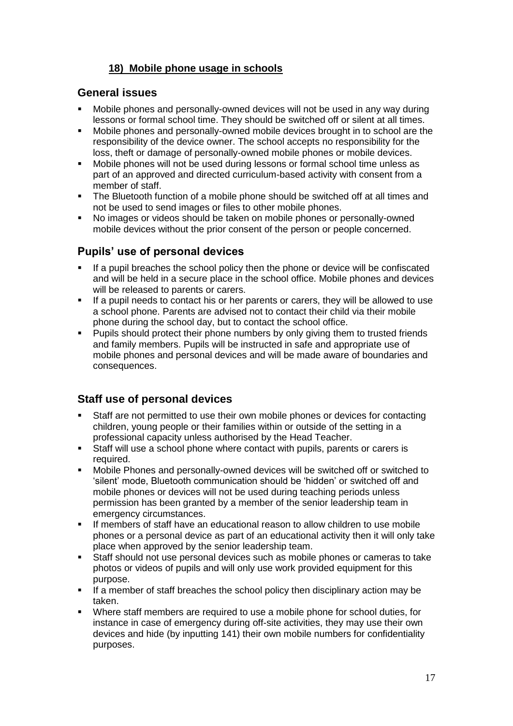# **18) Mobile phone usage in schools**

## **General issues**

- Mobile phones and personally-owned devices will not be used in any way during lessons or formal school time. They should be switched off or silent at all times.
- Mobile phones and personally-owned mobile devices brought in to school are the responsibility of the device owner. The school accepts no responsibility for the loss, theft or damage of personally-owned mobile phones or mobile devices.
- Mobile phones will not be used during lessons or formal school time unless as part of an approved and directed curriculum-based activity with consent from a member of staff.
- The Bluetooth function of a mobile phone should be switched off at all times and not be used to send images or files to other mobile phones.
- No images or videos should be taken on mobile phones or personally-owned mobile devices without the prior consent of the person or people concerned.

# **Pupils' use of personal devices**

- If a pupil breaches the school policy then the phone or device will be confiscated and will be held in a secure place in the school office. Mobile phones and devices will be released to parents or carers.
- **.** If a pupil needs to contact his or her parents or carers, they will be allowed to use a school phone. Parents are advised not to contact their child via their mobile phone during the school day, but to contact the school office.
- **•** Pupils should protect their phone numbers by only giving them to trusted friends and family members. Pupils will be instructed in safe and appropriate use of mobile phones and personal devices and will be made aware of boundaries and consequences.

# **Staff use of personal devices**

- Staff are not permitted to use their own mobile phones or devices for contacting children, young people or their families within or outside of the setting in a professional capacity unless authorised by the Head Teacher.
- Staff will use a school phone where contact with pupils, parents or carers is required.
- Mobile Phones and personally-owned devices will be switched off or switched to 'silent' mode, Bluetooth communication should be 'hidden' or switched off and mobile phones or devices will not be used during teaching periods unless permission has been granted by a member of the senior leadership team in emergency circumstances.
- If members of staff have an educational reason to allow children to use mobile phones or a personal device as part of an educational activity then it will only take place when approved by the senior leadership team.
- Staff should not use personal devices such as mobile phones or cameras to take photos or videos of pupils and will only use work provided equipment for this purpose.
- If a member of staff breaches the school policy then disciplinary action may be taken.
- Where staff members are required to use a mobile phone for school duties, for instance in case of emergency during off-site activities, they may use their own devices and hide (by inputting 141) their own mobile numbers for confidentiality purposes.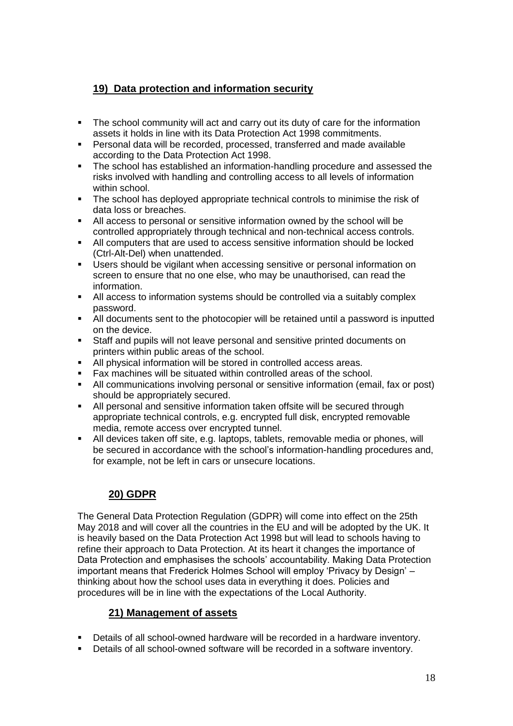# **19) Data protection and information security**

- The school community will act and carry out its duty of care for the information assets it holds in line with its Data Protection Act 1998 commitments.
- Personal data will be recorded, processed, transferred and made available according to the Data Protection Act 1998.
- The school has established an information-handling procedure and assessed the risks involved with handling and controlling access to all levels of information within school.
- The school has deployed appropriate technical controls to minimise the risk of data loss or breaches.
- All access to personal or sensitive information owned by the school will be controlled appropriately through technical and non-technical access controls.
- All computers that are used to access sensitive information should be locked (Ctrl-Alt-Del) when unattended.
- Users should be vigilant when accessing sensitive or personal information on screen to ensure that no one else, who may be unauthorised, can read the information.
- All access to information systems should be controlled via a suitably complex password.
- All documents sent to the photocopier will be retained until a password is inputted on the device.
- Staff and pupils will not leave personal and sensitive printed documents on printers within public areas of the school.
- All physical information will be stored in controlled access areas.
- Fax machines will be situated within controlled areas of the school.
- All communications involving personal or sensitive information (email, fax or post) should be appropriately secured.
- All personal and sensitive information taken offsite will be secured through appropriate technical controls, e.g. encrypted full disk, encrypted removable media, remote access over encrypted tunnel.
- All devices taken off site, e.g. laptops, tablets, removable media or phones, will be secured in accordance with the school's information-handling procedures and, for example, not be left in cars or unsecure locations.

# **20) GDPR**

The General Data Protection Regulation (GDPR) will come into effect on the 25th May 2018 and will cover all the countries in the EU and will be adopted by the UK. It is heavily based on the Data Protection Act 1998 but will lead to schools having to refine their approach to Data Protection. At its heart it changes the importance of Data Protection and emphasises the schools' accountability. Making Data Protection important means that Frederick Holmes School will employ 'Privacy by Design' – thinking about how the school uses data in everything it does. Policies and procedures will be in line with the expectations of the Local Authority.

#### **21) Management of assets**

- Details of all school-owned hardware will be recorded in a hardware inventory.
- Details of all school-owned software will be recorded in a software inventory.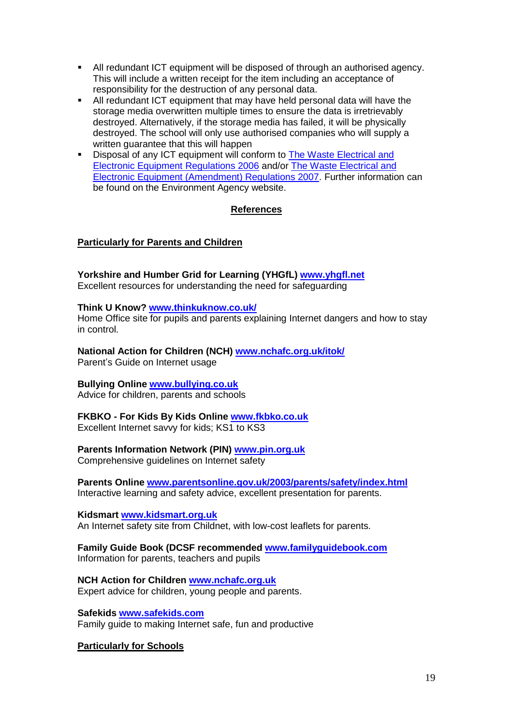- All redundant ICT equipment will be disposed of through an authorised agency. This will include a written receipt for the item including an acceptance of responsibility for the destruction of any personal data.
- All redundant ICT equipment that may have held personal data will have the storage media overwritten multiple times to ensure the data is irretrievably destroyed. Alternatively, if the storage media has failed, it will be physically destroyed. The school will only use authorised companies who will supply a written guarantee that this will happen
- Disposal of any ICT equipment will conform to The Waste Electrical and [Electronic Equipment Regulations 2006](http://www.legislation.gov.uk/uksi/2006/3289/pdfs/uksi_20063289_en.pdf) and/or [The Waste Electrical and](http://www.legislation.gov.uk/uksi/2007/3454/pdfs/uksi_20073454_en.pdf)  [Electronic Equipment \(Amendment\) Regulations 2007.](http://www.legislation.gov.uk/uksi/2007/3454/pdfs/uksi_20073454_en.pdf) [Further information](http://www.environment-agency.gov.uk/business/topics/waste/32084.aspx) can be found on the Environment Agency website.

#### **References**

#### **Particularly for Parents and Children**

**Yorkshire and Humber Grid for Learning (YHGfL) [www.yhgfl.net](http://www.yhgfl.net/)** Excellent resources for understanding the need for safeguarding

#### **Think U Know? [www.thinkuknow.co.uk/](http://www.thinkuknow.co.uk/)**

Home Office site for pupils and parents explaining Internet dangers and how to stay in control.

**National Action for Children (NCH) [www.nchafc.org.uk/itok/](http://www.nchafc.org.uk/itok/)** Parent's Guide on Internet usage

#### **Bullying Online [www.bullying.co.uk](http://www.bullying.co.uk/)**

Advice for children, parents and schools

# **FKBKO - For Kids By Kids Online [www.fkbko.co.uk](http://www.fkbko.co.uk/)**

Excellent Internet savvy for kids; KS1 to KS3

#### **Parents Information Network (PIN) [www.pin.org.uk](http://www.pin.org.uk/)**

Comprehensive guidelines on Internet safety

**Parents Online [www.parentsonline.gov.uk/2003/parents/safety/index.html](http://www.parentsonline.gov.uk/2003/parents/safety/index.html)** Interactive learning and safety advice, excellent presentation for parents.

#### **Kidsmart [www.kidsmart.org.uk](http://www.kidsmart.org.uk/)**

An Internet safety site from Childnet, with low-cost leaflets for parents.

**Family Guide Book (DCSF recommended [www.familyguidebook.com](http://www.familyguidebook.com/)** Information for parents, teachers and pupils

#### **NCH Action for Children [www.nchafc.org.uk](http://www.nchafc.org.uk/)** Expert advice for children, young people and parents.

**Safekids [www.safekids.com](http://www.safekids.com/)** Family guide to making Internet safe, fun and productive

#### **Particularly for Schools**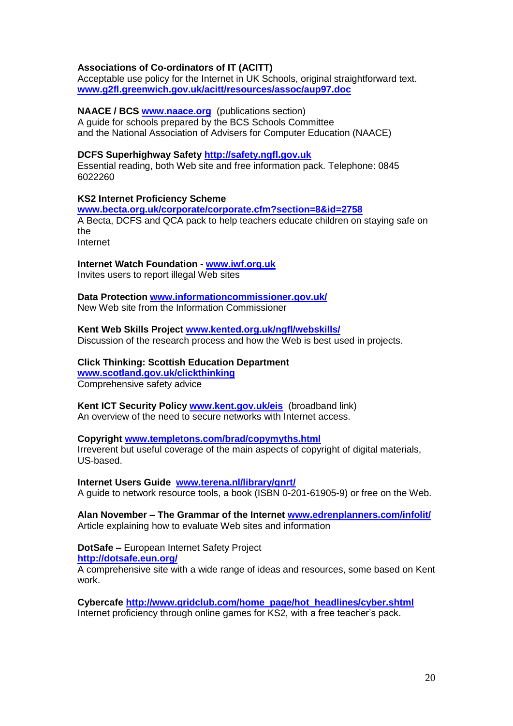#### **Associations of Co-ordinators of IT (ACITT)**

Acceptable use policy for the Internet in UK Schools, original straightforward text. **[www.g2fl.greenwich.gov.uk/acitt/resources/assoc/aup97.doc](http://www.g2fl.greenwich.gov.uk/acitt/resources/assoc/aup97.doc)**

**NAACE / BCS [www.naace.org](http://www.naace.org/)** (publications section) A guide for schools prepared by the BCS Schools Committee and the National Association of Advisers for Computer Education (NAACE)

#### **DCFS Superhighway Safety [http://safety.ngfl.gov.uk](http://safety.ngfl.gov.uk/)**

Essential reading, both Web site and free information pack. Telephone: 0845 6022260

#### **KS2 Internet Proficiency Scheme**

**[www.becta.org.uk/corporate/corporate.cfm?section=8&id=2758](http://www.becta.org.uk/corporate/corporate.cfm?section=8&id=2758)** A Becta, DCFS and QCA pack to help teachers educate children on staying safe on the Internet

#### **Internet Watch Foundation - [www.iwf.org.uk](http://www.iwf.org.uk/)**

Invites users to report illegal Web sites

# **Data Protection [www.informationcommissioner.gov.uk/](http://www.informationcommissioner.gov.uk/)**

New Web site from the Information Commissioner

**Kent Web Skills Project [www.kented.org.uk/ngfl/webskills/](http://www.kented.org.uk/ngfl/webskills/)** Discussion of the research process and how the Web is best used in projects.

**Click Thinking: Scottish Education Department [www.scotland.gov.uk/clickthinking](http://www.scotland.gov.uk/clickthinking)** Comprehensive safety advice

**Kent ICT Security Policy [www.kent.gov.uk/eis](http://www.kent.gov.uk/eis)** (broadband link) An overview of the need to secure networks with Internet access.

#### **Copyright [www.templetons.com/brad/copymyths.html](http://www.templetons.com/brad/copymyths.html)** Irreverent but useful coverage of the main aspects of copyright of digital materials, US-based.

**Internet Users Guide [www.terena.nl/library/gnrt/](http://www.terena.nl/library/gnrt/)** A guide to network resource tools, a book (ISBN 0-201-61905-9) or free on the Web.

**Alan November – The Grammar of the Internet [www.edrenplanners.com/infolit/](http://www.edrenplanners.com/infolit/)**  Article explaining how to evaluate Web sites and information

**DotSafe –** European Internet Safety Project

**<http://dotsafe.eun.org/>**

A comprehensive site with a wide range of ideas and resources, some based on Kent work.

**Cybercafe [http://www.gridclub.com/home\\_page/hot\\_headlines/cyber.shtml](http://www.gridclub.com/home_page/hot_headlines/cyber.shtml)** Internet proficiency through online games for KS2, with a free teacher's pack.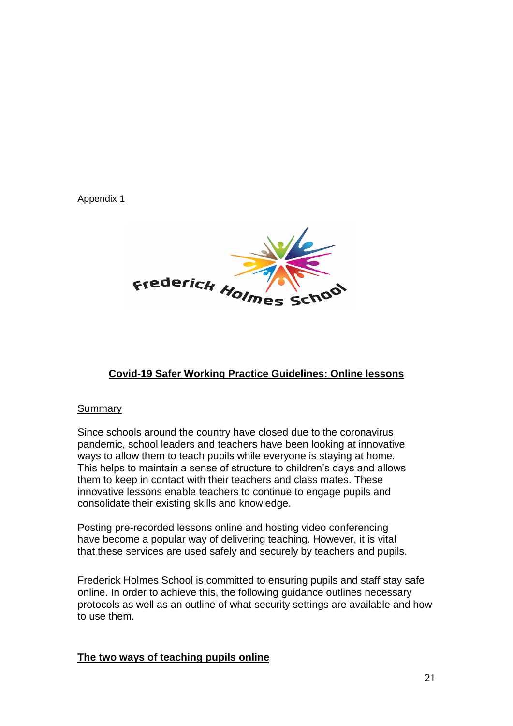Appendix 1



# **Covid-19 Safer Working Practice Guidelines: Online lessons**

#### Summary

Since schools around the country have closed due to the coronavirus pandemic, school leaders and teachers have been looking at innovative ways to allow them to teach pupils while everyone is staying at home. This helps to maintain a sense of structure to children's days and allows them to keep in contact with their teachers and class mates. These innovative lessons enable teachers to continue to engage pupils and consolidate their existing skills and knowledge.

Posting pre-recorded lessons online and hosting video conferencing have become a popular way of delivering teaching. However, it is vital that these services are used safely and securely by teachers and pupils.

Frederick Holmes School is committed to ensuring pupils and staff stay safe online. In order to achieve this, the following guidance outlines necessary protocols as well as an outline of what security settings are available and how to use them.

#### **The two ways of teaching pupils online**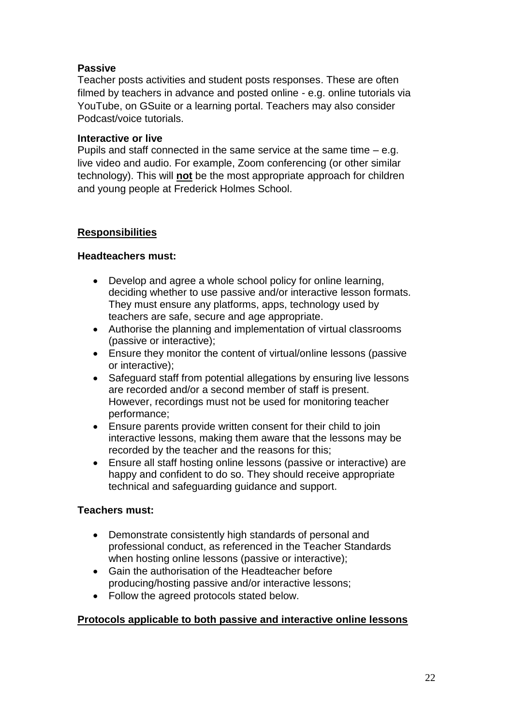# **Passive**

Teacher posts activities and student posts responses. These are often filmed by teachers in advance and posted online - e.g. online tutorials via YouTube, on GSuite or a learning portal. Teachers may also consider Podcast/voice tutorials.

#### **Interactive or live**

Pupils and staff connected in the same service at the same time – e.g. live video and audio. For example, Zoom conferencing (or other similar technology). This will **not** be the most appropriate approach for children and young people at Frederick Holmes School.

## **Responsibilities**

## **Headteachers must:**

- Develop and agree a whole school policy for online learning, deciding whether to use passive and/or interactive lesson formats. They must ensure any platforms, apps, technology used by teachers are safe, secure and age appropriate.
- Authorise the planning and implementation of virtual classrooms (passive or interactive);
- Ensure they monitor the content of virtual/online lessons (passive or interactive);
- Safeguard staff from potential allegations by ensuring live lessons are recorded and/or a second member of staff is present. However, recordings must not be used for monitoring teacher performance;
- Ensure parents provide written consent for their child to join interactive lessons, making them aware that the lessons may be recorded by the teacher and the reasons for this;
- Ensure all staff hosting online lessons (passive or interactive) are happy and confident to do so. They should receive appropriate technical and safeguarding guidance and support.

# **Teachers must:**

- Demonstrate consistently high standards of personal and professional conduct, as referenced in the Teacher Standards when hosting online lessons (passive or interactive);
- Gain the authorisation of the Headteacher before producing/hosting passive and/or interactive lessons;
- Follow the agreed protocols stated below.

#### **Protocols applicable to both passive and interactive online lessons**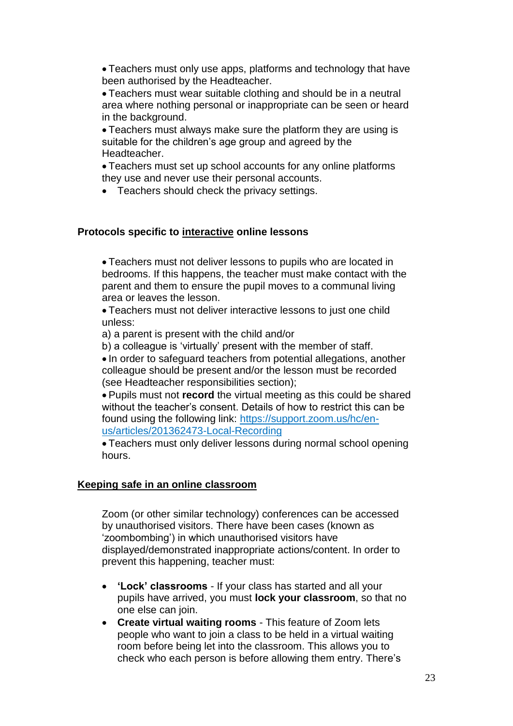• Teachers must only use apps, platforms and technology that have been authorised by the Headteacher.

• Teachers must wear suitable clothing and should be in a neutral area where nothing personal or inappropriate can be seen or heard in the background.

• Teachers must always make sure the platform they are using is suitable for the children's age group and agreed by the Headteacher.

• Teachers must set up school accounts for any online platforms they use and never use their personal accounts.

• Teachers should check the privacy settings.

#### **Protocols specific to interactive online lessons**

• Teachers must not deliver lessons to pupils who are located in bedrooms. If this happens, the teacher must make contact with the parent and them to ensure the pupil moves to a communal living area or leaves the lesson.

• Teachers must not deliver interactive lessons to just one child unless:

a) a parent is present with the child and/or

b) a colleague is 'virtually' present with the member of staff.

• In order to safeguard teachers from potential allegations, another colleague should be present and/or the lesson must be recorded (see Headteacher responsibilities section);

• Pupils must not **record** the virtual meeting as this could be shared without the teacher's consent. Details of how to restrict this can be found using the following link: [https://support.zoom.us/hc/en](https://support.zoom.us/hc/en-us/articles/201362473-Local-Recording)[us/articles/201362473-Local-Recording](https://support.zoom.us/hc/en-us/articles/201362473-Local-Recording)

• Teachers must only deliver lessons during normal school opening hours.

#### **Keeping safe in an online classroom**

Zoom (or other similar technology) conferences can be accessed by unauthorised visitors. There have been cases (known as 'zoombombing') in which unauthorised visitors have displayed/demonstrated inappropriate actions/content. In order to prevent this happening, teacher must:

- **'Lock' classrooms** If your class has started and all your pupils have arrived, you must **lock your classroom**, so that no one else can join.
- **Create virtual waiting rooms** This feature of Zoom lets people who want to join a class to be held in a virtual waiting room before being let into the classroom. This allows you to check who each person is before allowing them entry. There's